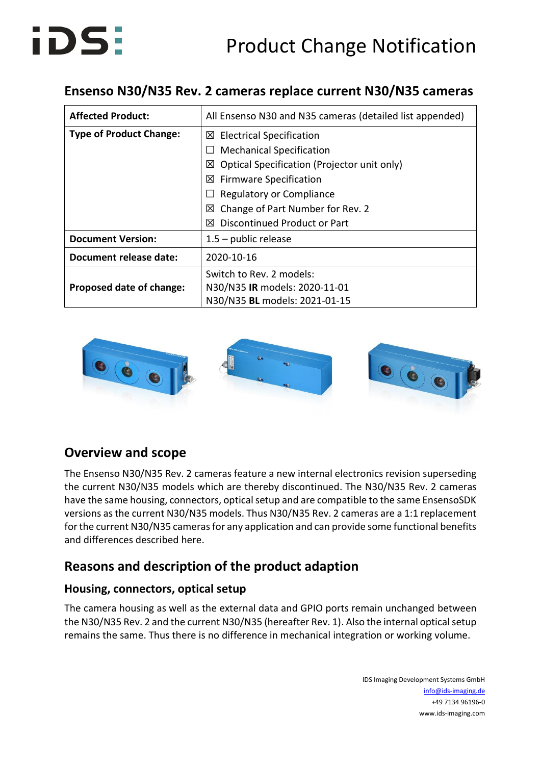# Product Change Notification



## **Ensenso N30/N35 Rev. 2 cameras replace current N30/N35 cameras**

| <b>Affected Product:</b>       | All Ensenso N30 and N35 cameras (detailed list appended) |
|--------------------------------|----------------------------------------------------------|
| <b>Type of Product Change:</b> | $\boxtimes$ Electrical Specification                     |
|                                | <b>Mechanical Specification</b>                          |
|                                | Optical Specification (Projector unit only)<br>⊠         |
|                                | $\boxtimes$ Firmware Specification                       |
|                                | Regulatory or Compliance                                 |
|                                | Change of Part Number for Rev. 2<br>⊠                    |
|                                | Discontinued Product or Part<br>⊠                        |
| <b>Document Version:</b>       | $1.5$ – public release                                   |
| <b>Document release date:</b>  | 2020-10-16                                               |
|                                | Switch to Rev. 2 models:                                 |
| Proposed date of change:       | N30/N35 IR models: 2020-11-01                            |
|                                | N30/N35 BL models: 2021-01-15                            |



### **Overview and scope**

The Ensenso N30/N35 Rev. 2 cameras feature a new internal electronics revision superseding the current N30/N35 models which are thereby discontinued. The N30/N35 Rev. 2 cameras have the same housing, connectors, optical setup and are compatible to the same EnsensoSDK versions as the current N30/N35 models. Thus N30/N35 Rev. 2 cameras are a 1:1 replacement for the current N30/N35 cameras for any application and can provide some functional benefits and differences described here.

# **Reasons and description of the product adaption**

#### **Housing, connectors, optical setup**

The camera housing as well as the external data and GPIO ports remain unchanged between the N30/N35 Rev. 2 and the current N30/N35 (hereafter Rev. 1). Also the internal optical setup remains the same. Thus there is no difference in mechanical integration or working volume.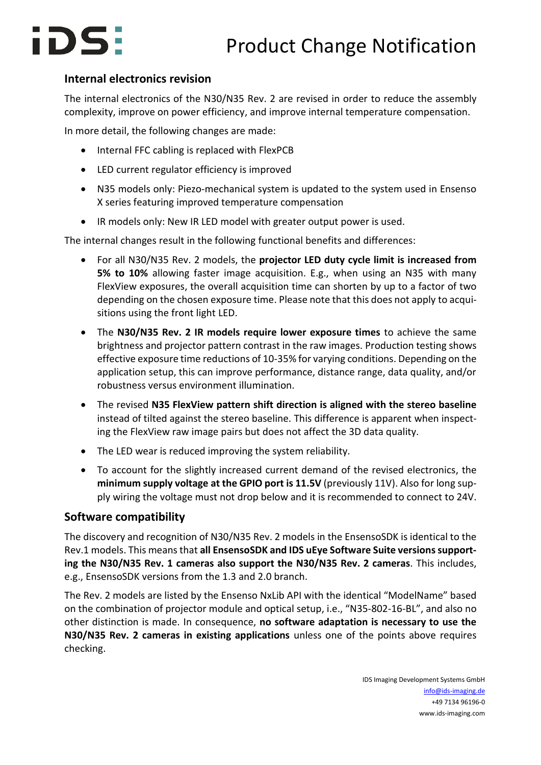# iDS:

#### **Internal electronics revision**

The internal electronics of the N30/N35 Rev. 2 are revised in order to reduce the assembly complexity, improve on power efficiency, and improve internal temperature compensation.

In more detail, the following changes are made:

- Internal FFC cabling is replaced with FlexPCB
- LED current regulator efficiency is improved
- N35 models only: Piezo-mechanical system is updated to the system used in Ensenso X series featuring improved temperature compensation
- IR models only: New IR LED model with greater output power is used.

The internal changes result in the following functional benefits and differences:

- For all N30/N35 Rev. 2 models, the **projector LED duty cycle limit is increased from 5% to 10%** allowing faster image acquisition. E.g., when using an N35 with many FlexView exposures, the overall acquisition time can shorten by up to a factor of two depending on the chosen exposure time. Please note that this does not apply to acquisitions using the front light LED.
- The **N30/N35 Rev. 2 IR models require lower exposure times** to achieve the same brightness and projector pattern contrast in the raw images. Production testing shows effective exposure time reductions of 10-35% for varying conditions. Depending on the application setup, this can improve performance, distance range, data quality, and/or robustness versus environment illumination.
- The revised **N35 FlexView pattern shift direction is aligned with the stereo baseline** instead of tilted against the stereo baseline. This difference is apparent when inspecting the FlexView raw image pairs but does not affect the 3D data quality.
- The LED wear is reduced improving the system reliability.
- To account for the slightly increased current demand of the revised electronics, the **minimum supply voltage at the GPIO port is 11.5V** (previously 11V). Also for long supply wiring the voltage must not drop below and it is recommended to connect to 24V.

#### **Software compatibility**

The discovery and recognition of N30/N35 Rev. 2 models in the EnsensoSDK is identical to the Rev.1 models. This means that **all EnsensoSDK and IDS uEye Software Suite versions supporting the N30/N35 Rev. 1 cameras also support the N30/N35 Rev. 2 cameras**. This includes, e.g., EnsensoSDK versions from the 1.3 and 2.0 branch.

The Rev. 2 models are listed by the Ensenso NxLib API with the identical "ModelName" based on the combination of projector module and optical setup, i.e., "N35-802-16-BL", and also no other distinction is made. In consequence, **no software adaptation is necessary to use the N30/N35 Rev. 2 cameras in existing applications** unless one of the points above requires checking.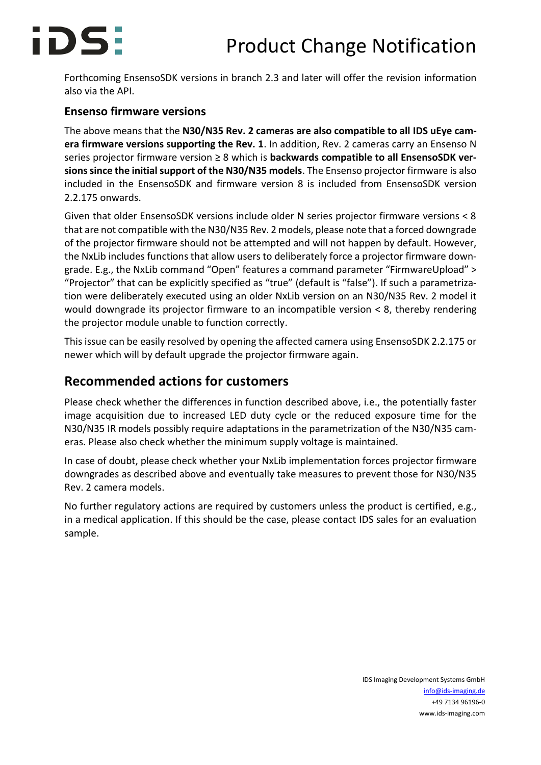

Forthcoming EnsensoSDK versions in branch 2.3 and later will offer the revision information also via the API.

#### **Ensenso firmware versions**

The above means that the **N30/N35 Rev. 2 cameras are also compatible to all IDS uEye camera firmware versions supporting the Rev. 1**. In addition, Rev. 2 cameras carry an Ensenso N series projector firmware version ≥ 8 which is **backwards compatible to all EnsensoSDK versions since the initial support of the N30/N35 models**. The Ensenso projector firmware is also included in the EnsensoSDK and firmware version 8 is included from EnsensoSDK version 2.2.175 onwards.

Given that older EnsensoSDK versions include older N series projector firmware versions < 8 that are not compatible with the N30/N35 Rev. 2 models, please note that a forced downgrade of the projector firmware should not be attempted and will not happen by default. However, the NxLib includes functions that allow users to deliberately force a projector firmware downgrade. E.g., the NxLib command "Open" features a command parameter "FirmwareUpload" > "Projector" that can be explicitly specified as "true" (default is "false"). If such a parametrization were deliberately executed using an older NxLib version on an N30/N35 Rev. 2 model it would downgrade its projector firmware to an incompatible version < 8, thereby rendering the projector module unable to function correctly.

This issue can be easily resolved by opening the affected camera using EnsensoSDK 2.2.175 or newer which will by default upgrade the projector firmware again.

### **Recommended actions for customers**

Please check whether the differences in function described above, i.e., the potentially faster image acquisition due to increased LED duty cycle or the reduced exposure time for the N30/N35 IR models possibly require adaptations in the parametrization of the N30/N35 cameras. Please also check whether the minimum supply voltage is maintained.

In case of doubt, please check whether your NxLib implementation forces projector firmware downgrades as described above and eventually take measures to prevent those for N30/N35 Rev. 2 camera models.

No further regulatory actions are required by customers unless the product is certified, e.g., in a medical application. If this should be the case, please contact IDS sales for an evaluation sample.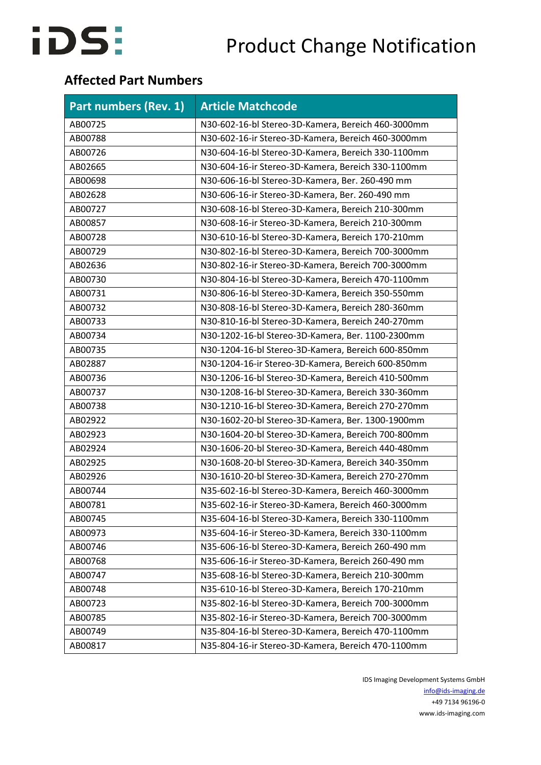

## **Affected Part Numbers**

| Part numbers (Rev. 1) | <b>Article Matchcode</b>                           |
|-----------------------|----------------------------------------------------|
| AB00725               | N30-602-16-bl Stereo-3D-Kamera, Bereich 460-3000mm |
| AB00788               | N30-602-16-ir Stereo-3D-Kamera, Bereich 460-3000mm |
| AB00726               | N30-604-16-bl Stereo-3D-Kamera, Bereich 330-1100mm |
| AB02665               | N30-604-16-ir Stereo-3D-Kamera, Bereich 330-1100mm |
| AB00698               | N30-606-16-bl Stereo-3D-Kamera, Ber. 260-490 mm    |
| AB02628               | N30-606-16-ir Stereo-3D-Kamera, Ber. 260-490 mm    |
| AB00727               | N30-608-16-bl Stereo-3D-Kamera, Bereich 210-300mm  |
| AB00857               | N30-608-16-ir Stereo-3D-Kamera, Bereich 210-300mm  |
| AB00728               | N30-610-16-bl Stereo-3D-Kamera, Bereich 170-210mm  |
| AB00729               | N30-802-16-bl Stereo-3D-Kamera, Bereich 700-3000mm |
| AB02636               | N30-802-16-ir Stereo-3D-Kamera, Bereich 700-3000mm |
| AB00730               | N30-804-16-bl Stereo-3D-Kamera, Bereich 470-1100mm |
| AB00731               | N30-806-16-bl Stereo-3D-Kamera, Bereich 350-550mm  |
| AB00732               | N30-808-16-bl Stereo-3D-Kamera, Bereich 280-360mm  |
| AB00733               | N30-810-16-bl Stereo-3D-Kamera, Bereich 240-270mm  |
| AB00734               | N30-1202-16-bl Stereo-3D-Kamera, Ber. 1100-2300mm  |
| AB00735               | N30-1204-16-bl Stereo-3D-Kamera, Bereich 600-850mm |
| AB02887               | N30-1204-16-ir Stereo-3D-Kamera, Bereich 600-850mm |
| AB00736               | N30-1206-16-bl Stereo-3D-Kamera, Bereich 410-500mm |
| AB00737               | N30-1208-16-bl Stereo-3D-Kamera, Bereich 330-360mm |
| AB00738               | N30-1210-16-bl Stereo-3D-Kamera, Bereich 270-270mm |
| AB02922               | N30-1602-20-bl Stereo-3D-Kamera, Ber. 1300-1900mm  |
| AB02923               | N30-1604-20-bl Stereo-3D-Kamera, Bereich 700-800mm |
| AB02924               | N30-1606-20-bl Stereo-3D-Kamera, Bereich 440-480mm |
| AB02925               | N30-1608-20-bl Stereo-3D-Kamera, Bereich 340-350mm |
| AB02926               | N30-1610-20-bl Stereo-3D-Kamera, Bereich 270-270mm |
| AB00744               | N35-602-16-bl Stereo-3D-Kamera, Bereich 460-3000mm |
| AB00781               | N35-602-16-ir Stereo-3D-Kamera, Bereich 460-3000mm |
| AB00745               | N35-604-16-bl Stereo-3D-Kamera, Bereich 330-1100mm |
| AB00973               | N35-604-16-ir Stereo-3D-Kamera, Bereich 330-1100mm |
| AB00746               | N35-606-16-bl Stereo-3D-Kamera, Bereich 260-490 mm |
| AB00768               | N35-606-16-ir Stereo-3D-Kamera, Bereich 260-490 mm |
| AB00747               | N35-608-16-bl Stereo-3D-Kamera, Bereich 210-300mm  |
| AB00748               | N35-610-16-bl Stereo-3D-Kamera, Bereich 170-210mm  |
| AB00723               | N35-802-16-bl Stereo-3D-Kamera, Bereich 700-3000mm |
| AB00785               | N35-802-16-ir Stereo-3D-Kamera, Bereich 700-3000mm |
| AB00749               | N35-804-16-bl Stereo-3D-Kamera, Bereich 470-1100mm |
| AB00817               | N35-804-16-ir Stereo-3D-Kamera, Bereich 470-1100mm |

IDS Imaging Development Systems GmbH [info@ids-imaging.de](mailto:info@ids-imaging.de) +49 7134 96196-0 www.ids-imaging.com